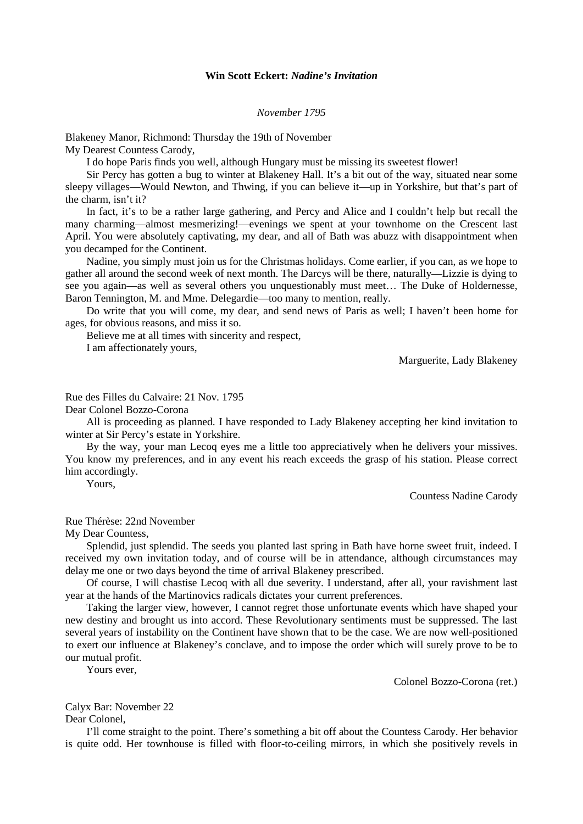## **Win Scott Eckert:** *Nadine's Invitation*

## *November 1795*

Blakeney Manor, Richmond: Thursday the 19th of November My Dearest Countess Carody,

I do hope Paris finds you well, although Hungary must be missing its sweetest flower!

Sir Percy has gotten a bug to winter at Blakeney Hall. It's a bit out of the way, situated near some sleepy villages—Would Newton, and Thwing, if you can believe it—up in Yorkshire, but that's part of the charm, isn't it?

In fact, it's to be a rather large gathering, and Percy and Alice and I couldn't help but recall the many charming—almost mesmerizing!—evenings we spent at your townhome on the Crescent last April. You were absolutely captivating, my dear, and all of Bath was abuzz with disappointment when you decamped for the Continent.

Nadine, you simply must join us for the Christmas holidays. Come earlier, if you can, as we hope to gather all around the second week of next month. The Darcys will be there, naturally—Lizzie is dying to see you again—as well as several others you unquestionably must meet… The Duke of Holdernesse, Baron Tennington, M. and Mme. Delegardie—too many to mention, really.

Do write that you will come, my dear, and send news of Paris as well; I haven't been home for ages, for obvious reasons, and miss it so.

Believe me at all times with sincerity and respect,

I am affectionately yours,

Marguerite, Lady Blakeney

Rue des Filles du Calvaire: 21 Nov. 1795

Dear Colonel Bozzo-Corona

All is proceeding as planned. I have responded to Lady Blakeney accepting her kind invitation to winter at Sir Percy's estate in Yorkshire.

By the way, your man Lecoq eyes me a little too appreciatively when he delivers your missives. You know my preferences, and in any event his reach exceeds the grasp of his station. Please correct him accordingly.

Yours,

Countess Nadine Carody

Rue Thérèse: 22nd November

My Dear Countess,

Splendid, just splendid. The seeds you planted last spring in Bath have horne sweet fruit, indeed. I received my own invitation today, and of course will be in attendance, although circumstances may delay me one or two days beyond the time of arrival Blakeney prescribed.

Of course, I will chastise Lecoq with all due severity. I understand, after all, your ravishment last year at the hands of the Martinovics radicals dictates your current preferences.

Taking the larger view, however, I cannot regret those unfortunate events which have shaped your new destiny and brought us into accord. These Revolutionary sentiments must be suppressed. The last several years of instability on the Continent have shown that to be the case. We are now well-positioned to exert our influence at Blakeney's conclave, and to impose the order which will surely prove to be to our mutual profit.

Yours ever,

Colonel Bozzo-Corona (ret.)

Calyx Bar: November 22

Dear Colonel,

I'll come straight to the point. There's something a bit off about the Countess Carody. Her behavior is quite odd. Her townhouse is filled with floor-to-ceiling mirrors, in which she positively revels in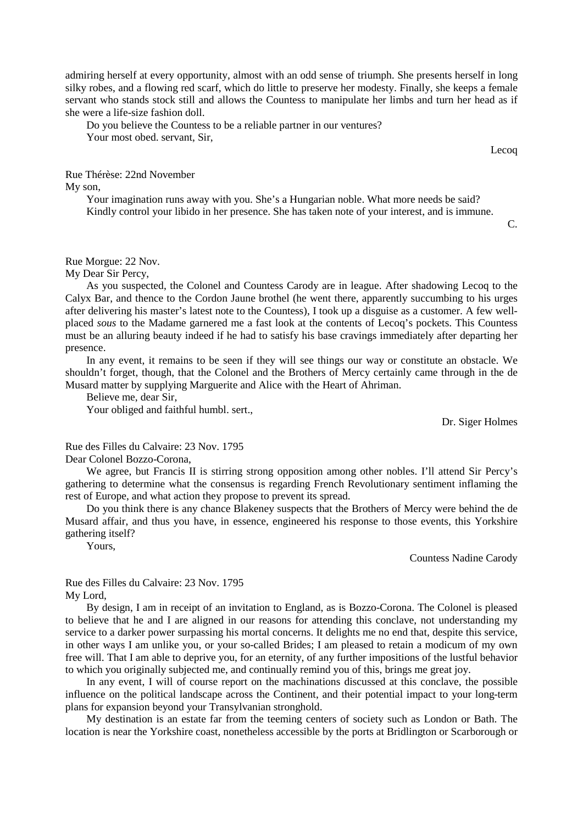admiring herself at every opportunity, almost with an odd sense of triumph. She presents herself in long silky robes, and a flowing red scarf, which do little to preserve her modesty. Finally, she keeps a female servant who stands stock still and allows the Countess to manipulate her limbs and turn her head as if she were a life-size fashion doll.

Do you believe the Countess to be a reliable partner in our ventures? Your most obed. servant, Sir,

Lecoq

Rue Thérèse: 22nd November

My son,

Your imagination runs away with you. She's a Hungarian noble. What more needs be said? Kindly control your libido in her presence. She has taken note of your interest, and is immune.

C.

## Rue Morgue: 22 Nov.

My Dear Sir Percy,

As you suspected, the Colonel and Countess Carody are in league. After shadowing Lecoq to the Calyx Bar, and thence to the Cordon Jaune brothel (he went there, apparently succumbing to his urges after delivering his master's latest note to the Countess), I took up a disguise as a customer. A few wellplaced *sous* to the Madame garnered me a fast look at the contents of Lecoq's pockets. This Countess must be an alluring beauty indeed if he had to satisfy his base cravings immediately after departing her presence.

In any event, it remains to be seen if they will see things our way or constitute an obstacle. We shouldn't forget, though, that the Colonel and the Brothers of Mercy certainly came through in the de Musard matter by supplying Marguerite and Alice with the Heart of Ahriman.

Believe me, dear Sir,

Your obliged and faithful humbl. sert.,

Dr. Siger Holmes

Rue des Filles du Calvaire: 23 Nov. 1795 Dear Colonel Bozzo-Corona,

We agree, but Francis II is stirring strong opposition among other nobles. I'll attend Sir Percy's gathering to determine what the consensus is regarding French Revolutionary sentiment inflaming the rest of Europe, and what action they propose to prevent its spread.

Do you think there is any chance Blakeney suspects that the Brothers of Mercy were behind the de Musard affair, and thus you have, in essence, engineered his response to those events, this Yorkshire gathering itself?

Yours,

Countess Nadine Carody

Rue des Filles du Calvaire: 23 Nov. 1795 My Lord,

By design, I am in receipt of an invitation to England, as is Bozzo-Corona. The Colonel is pleased to believe that he and I are aligned in our reasons for attending this conclave, not understanding my service to a darker power surpassing his mortal concerns. It delights me no end that, despite this service, in other ways I am unlike you, or your so-called Brides; I am pleased to retain a modicum of my own free will. That I am able to deprive you, for an eternity, of any further impositions of the lustful behavior to which you originally subjected me, and continually remind you of this, brings me great joy.

In any event, I will of course report on the machinations discussed at this conclave, the possible influence on the political landscape across the Continent, and their potential impact to your long-term plans for expansion beyond your Transylvanian stronghold.

My destination is an estate far from the teeming centers of society such as London or Bath. The location is near the Yorkshire coast, nonetheless accessible by the ports at Bridlington or Scarborough or